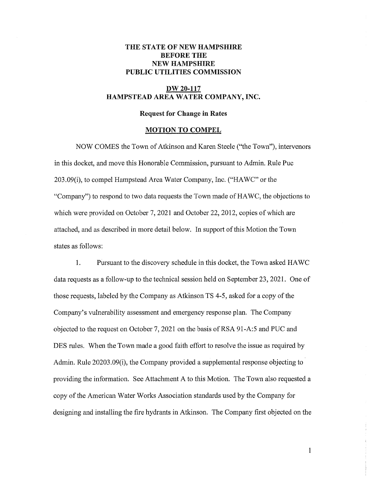## **THE STATE OF NEW HAMPSHIRE BEFORE THE NEW HAMPSHIRE PUBLIC UTILITIES COMMISSION**

## **DW20-117 HAMPSTEAD AREA WATER COMPANY, INC.**

### **Request for Change in Rates**

#### **MOTION TO COMPEL**

NOW COMES the Town of Atkinson and Karen Steele ("the Town"), intervenors in this docket, and move this Honorable Commission, pursuant to Admin. Rule Puc 203.09(i), to compel Hampstead Area Water Company, Inc. ("HAWC" or the "Company") to respond to two data requests the Town made of HAWC, the objections to which were provided on October 7, 2021 and October 22, 2012, copies of which are attached, and as described in more detail below. In support of this Motion the Town states as follows:

1. Pursuant to the discovery schedule in this docket, the Town asked HA WC data requests as a follow-up to the technical session held on September 23, 2021. One of those requests, labeled by the Company as Atkinson TS 4-5, asked for a copy of the Company's vulnerability assessment and emergency response plan. The Company objected to the request on October 7, 2021 on the basis of RSA 91-A:5 and PUC and DES rules. When the Town made a good faith effort to resolve the issue as required by Admin. Rule 20203.09(i), the Company provided a supplemental response objecting to providing the information. See Attachment A to this Motion. The Town also requested a copy of the American Water Works Association standards used by the Company for designing and installing the fire hydrants in Atkinson. The Company first objected on the

1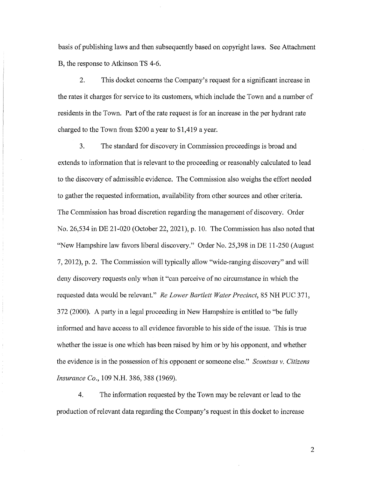basis of publishing laws and then subsequently based on copyright laws. See Attachment B, the response to Atkinson TS 4-6.

2. This docket concerns the Company's request for a significant increase in the rates it charges for service to its customers, which include the Town and a number of residents in the Town. Part of the rate request is for an increase in the per hydrant rate charged to the Town from \$200 a year to \$1,419 a year.

3. The standard for discovery in Commission proceedings is broad and extends to information that is relevant to the proceeding or reasonably calculated to lead to the discovery of admissible evidence. The Commission also weighs the effort needed to gather the requested information, availability from other sources and other criteria. The Commission has broad discretion regarding the management of discovery. Order No. 26,534 in DE 21-020 (October 22, 2021), p. 10. The Commission has also noted that "New Hampshire law favors liberal discovery." Order No. 25,398 in DE 11-250 (August 7, 2012), p. 2. The Commission will typically allow "wide-ranging discovery" and will deny discovery requests only when it "can perceive of no circumstance in which the requested data would be relevant." *Re Lower Bartlett Water Precinct,* 85 NH PUC 371, 372 (2000). A party in a legal proceeding in New Hampshire is entitled to "be fully informed and have access to all evidence favorable to his side of the issue. This is true whether the issue is one which has been raised by him or by his opponent, and whether the evidence is in the possession of his opponent or someone else." *Scontsas v. Citizens Insurance Co.,* 109 N.H. 386,388 (1969).

4. The information requested by the Town may be relevant or lead to the production of relevant data regarding the Company's request in this docket to increase

2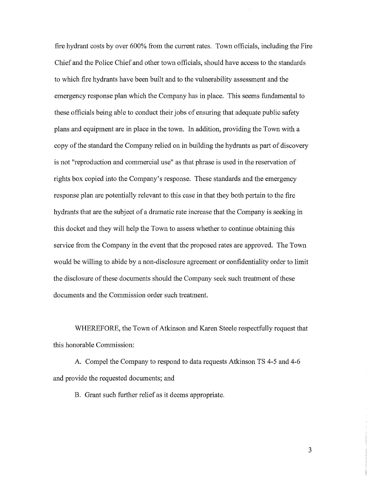fire hydrant costs by over 600% from the current rates. Town officials, including the Fire Chief and the Police Chief and other town officials, should have access to the standards to which fire hydrants have been built and to the vulnerability assessment and the emergency response plan which the Company has in place. This seems fundamental to these officials being able to conduct their jobs of ensuring that adequate public safety plans and equipment are in place in the town. In addition, providing the Town with a copy of the standard the Company relied on in building the hydrants as part of discovery is not "reproduction and commercial use" as that phrase is used in the reservation of rights box copied into the Company's response. These standards and the emergency response plan are potentially relevant to this case in that they both pertain to the fire hydrants that are the subject of a dramatic rate increase that the Company is seeking in this docket and they will help the Town to assess whether to continue obtaining this service from the Company in the event that the proposed rates are approved. The Town would be willing to abide by a non-disclosure agreement or confidentiality order to limit the disclosure of these documents should the Company seek such treatment of these documents and the Commission order such treatment.

WHEREFORE, the Town of Atkinson and Karen Steele respectfully request that this honorable Commission:

A. Compel the Company to respond to data requests Atkinson TS 4-5 and 4-6 and provide the requested documents; and

B. Grant such further relief as it deems appropriate.